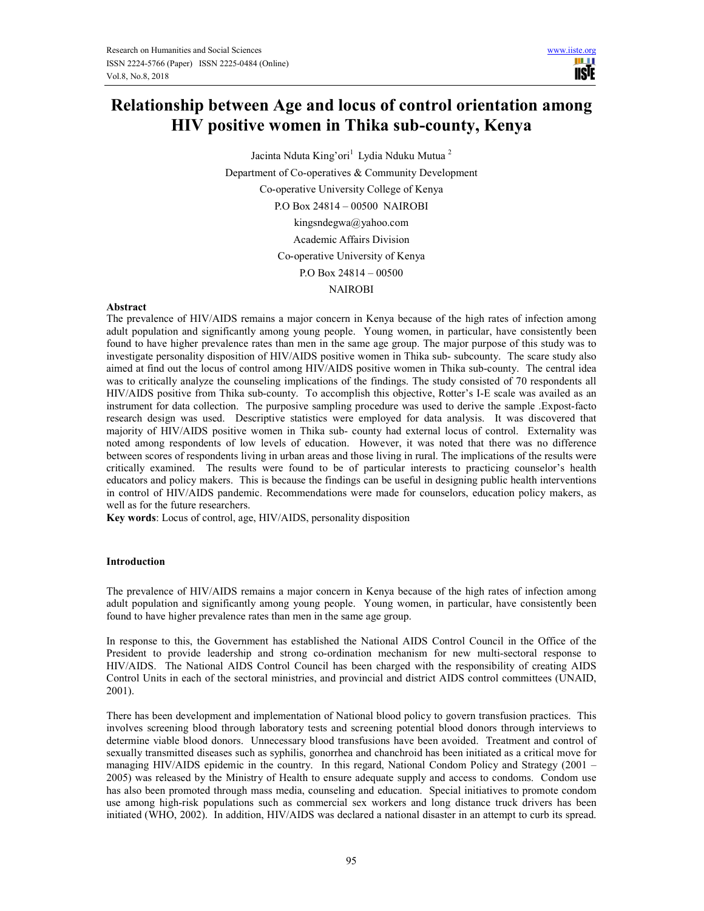m r **USIE** 

# **Relationship between Age and locus of control orientation among HIV positive women in Thika sub-county, Kenya**

Jacinta Nduta King'ori<sup>1</sup> Lydia Nduku Mutua<sup>2</sup> Department of Co-operatives & Community Development Co-operative University College of Kenya P.O Box 24814 – 00500 NAIROBI kingsndegwa@yahoo.com Academic Affairs Division Co-operative University of Kenya P.O Box 24814 – 00500 NAIROBI

### **Abstract**

The prevalence of HIV/AIDS remains a major concern in Kenya because of the high rates of infection among adult population and significantly among young people. Young women, in particular, have consistently been found to have higher prevalence rates than men in the same age group. The major purpose of this study was to investigate personality disposition of HIV/AIDS positive women in Thika sub- subcounty. The scare study also aimed at find out the locus of control among HIV/AIDS positive women in Thika sub-county. The central idea was to critically analyze the counseling implications of the findings. The study consisted of 70 respondents all HIV/AIDS positive from Thika sub-county. To accomplish this objective, Rotter's I-E scale was availed as an instrument for data collection. The purposive sampling procedure was used to derive the sample .Expost-facto research design was used. Descriptive statistics were employed for data analysis. It was discovered that majority of HIV/AIDS positive women in Thika sub- county had external locus of control. Externality was noted among respondents of low levels of education. However, it was noted that there was no difference between scores of respondents living in urban areas and those living in rural. The implications of the results were critically examined. The results were found to be of particular interests to practicing counselor's health educators and policy makers. This is because the findings can be useful in designing public health interventions in control of HIV/AIDS pandemic. Recommendations were made for counselors, education policy makers, as well as for the future researchers.

**Key words**: Locus of control, age, HIV/AIDS, personality disposition

#### **Introduction**

The prevalence of HIV/AIDS remains a major concern in Kenya because of the high rates of infection among adult population and significantly among young people. Young women, in particular, have consistently been found to have higher prevalence rates than men in the same age group.

In response to this, the Government has established the National AIDS Control Council in the Office of the President to provide leadership and strong co-ordination mechanism for new multi-sectoral response to HIV/AIDS. The National AIDS Control Council has been charged with the responsibility of creating AIDS Control Units in each of the sectoral ministries, and provincial and district AIDS control committees (UNAID, 2001).

There has been development and implementation of National blood policy to govern transfusion practices. This involves screening blood through laboratory tests and screening potential blood donors through interviews to determine viable blood donors. Unnecessary blood transfusions have been avoided. Treatment and control of sexually transmitted diseases such as syphilis, gonorrhea and chanchroid has been initiated as a critical move for managing HIV/AIDS epidemic in the country. In this regard, National Condom Policy and Strategy (2001 – 2005) was released by the Ministry of Health to ensure adequate supply and access to condoms. Condom use has also been promoted through mass media, counseling and education. Special initiatives to promote condom use among high-risk populations such as commercial sex workers and long distance truck drivers has been initiated (WHO, 2002). In addition, HIV/AIDS was declared a national disaster in an attempt to curb its spread.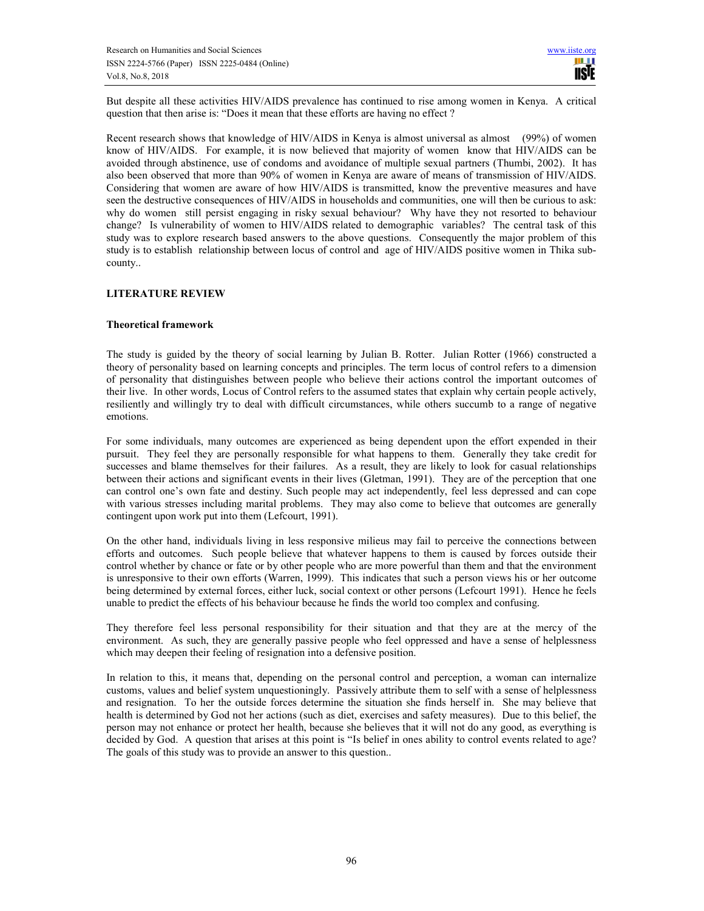But despite all these activities HIV/AIDS prevalence has continued to rise among women in Kenya. A critical question that then arise is: "Does it mean that these efforts are having no effect ?

Recent research shows that knowledge of HIV/AIDS in Kenya is almost universal as almost (99%) of women know of HIV/AIDS. For example, it is now believed that majority of women know that HIV/AIDS can be avoided through abstinence, use of condoms and avoidance of multiple sexual partners (Thumbi, 2002). It has also been observed that more than 90% of women in Kenya are aware of means of transmission of HIV/AIDS. Considering that women are aware of how HIV/AIDS is transmitted, know the preventive measures and have seen the destructive consequences of HIV/AIDS in households and communities, one will then be curious to ask: why do women still persist engaging in risky sexual behaviour? Why have they not resorted to behaviour change? Is vulnerability of women to HIV/AIDS related to demographic variables? The central task of this study was to explore research based answers to the above questions. Consequently the major problem of this study is to establish relationship between locus of control and age of HIV/AIDS positive women in Thika subcounty..

# **LITERATURE REVIEW**

## **Theoretical framework**

The study is guided by the theory of social learning by Julian B. Rotter. Julian Rotter (1966) constructed a theory of personality based on learning concepts and principles. The term locus of control refers to a dimension of personality that distinguishes between people who believe their actions control the important outcomes of their live. In other words, Locus of Control refers to the assumed states that explain why certain people actively, resiliently and willingly try to deal with difficult circumstances, while others succumb to a range of negative emotions.

For some individuals, many outcomes are experienced as being dependent upon the effort expended in their pursuit. They feel they are personally responsible for what happens to them. Generally they take credit for successes and blame themselves for their failures. As a result, they are likely to look for casual relationships between their actions and significant events in their lives (Gletman, 1991). They are of the perception that one can control one's own fate and destiny. Such people may act independently, feel less depressed and can cope with various stresses including marital problems. They may also come to believe that outcomes are generally contingent upon work put into them (Lefcourt, 1991).

On the other hand, individuals living in less responsive milieus may fail to perceive the connections between efforts and outcomes. Such people believe that whatever happens to them is caused by forces outside their control whether by chance or fate or by other people who are more powerful than them and that the environment is unresponsive to their own efforts (Warren, 1999). This indicates that such a person views his or her outcome being determined by external forces, either luck, social context or other persons (Lefcourt 1991). Hence he feels unable to predict the effects of his behaviour because he finds the world too complex and confusing.

They therefore feel less personal responsibility for their situation and that they are at the mercy of the environment. As such, they are generally passive people who feel oppressed and have a sense of helplessness which may deepen their feeling of resignation into a defensive position.

In relation to this, it means that, depending on the personal control and perception, a woman can internalize customs, values and belief system unquestioningly. Passively attribute them to self with a sense of helplessness and resignation. To her the outside forces determine the situation she finds herself in. She may believe that health is determined by God not her actions (such as diet, exercises and safety measures). Due to this belief, the person may not enhance or protect her health, because she believes that it will not do any good, as everything is decided by God. A question that arises at this point is "Is belief in ones ability to control events related to age? The goals of this study was to provide an answer to this question..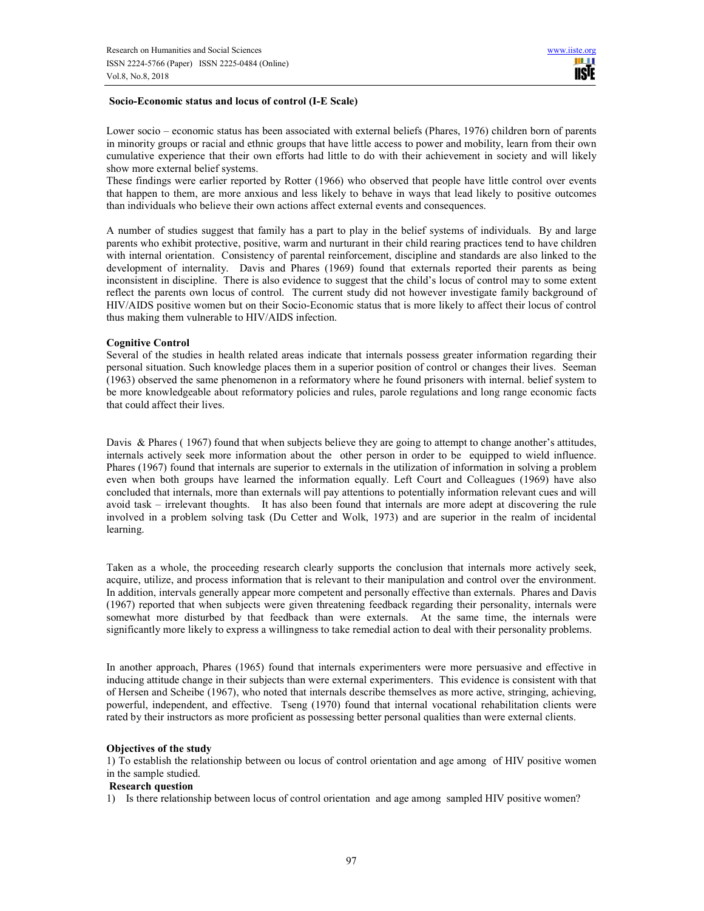#### **Socio-Economic status and locus of control (I-E Scale)**

Lower socio – economic status has been associated with external beliefs (Phares, 1976) children born of parents in minority groups or racial and ethnic groups that have little access to power and mobility, learn from their own cumulative experience that their own efforts had little to do with their achievement in society and will likely show more external belief systems.

These findings were earlier reported by Rotter (1966) who observed that people have little control over events that happen to them, are more anxious and less likely to behave in ways that lead likely to positive outcomes than individuals who believe their own actions affect external events and consequences.

A number of studies suggest that family has a part to play in the belief systems of individuals. By and large parents who exhibit protective, positive, warm and nurturant in their child rearing practices tend to have children with internal orientation. Consistency of parental reinforcement, discipline and standards are also linked to the development of internality. Davis and Phares (1969) found that externals reported their parents as being inconsistent in discipline. There is also evidence to suggest that the child's locus of control may to some extent reflect the parents own locus of control. The current study did not however investigate family background of HIV/AIDS positive women but on their Socio-Economic status that is more likely to affect their locus of control thus making them vulnerable to HIV/AIDS infection.

#### **Cognitive Control**

Several of the studies in health related areas indicate that internals possess greater information regarding their personal situation. Such knowledge places them in a superior position of control or changes their lives. Seeman (1963) observed the same phenomenon in a reformatory where he found prisoners with internal. belief system to be more knowledgeable about reformatory policies and rules, parole regulations and long range economic facts that could affect their lives.

Davis & Phares (1967) found that when subjects believe they are going to attempt to change another's attitudes, internals actively seek more information about the other person in order to be equipped to wield influence. Phares (1967) found that internals are superior to externals in the utilization of information in solving a problem even when both groups have learned the information equally. Left Court and Colleagues (1969) have also concluded that internals, more than externals will pay attentions to potentially information relevant cues and will avoid task – irrelevant thoughts. It has also been found that internals are more adept at discovering the rule involved in a problem solving task (Du Cetter and Wolk, 1973) and are superior in the realm of incidental learning.

Taken as a whole, the proceeding research clearly supports the conclusion that internals more actively seek, acquire, utilize, and process information that is relevant to their manipulation and control over the environment. In addition, intervals generally appear more competent and personally effective than externals. Phares and Davis (1967) reported that when subjects were given threatening feedback regarding their personality, internals were somewhat more disturbed by that feedback than were externals. At the same time, the internals were significantly more likely to express a willingness to take remedial action to deal with their personality problems.

In another approach, Phares (1965) found that internals experimenters were more persuasive and effective in inducing attitude change in their subjects than were external experimenters. This evidence is consistent with that of Hersen and Scheibe (1967), who noted that internals describe themselves as more active, stringing, achieving, powerful, independent, and effective. Tseng (1970) found that internal vocational rehabilitation clients were rated by their instructors as more proficient as possessing better personal qualities than were external clients.

#### **Objectives of the study**

1) To establish the relationship between ou locus of control orientation and age among of HIV positive women in the sample studied.

#### **Research question**

1) Is there relationship between locus of control orientation and age among sampled HIV positive women?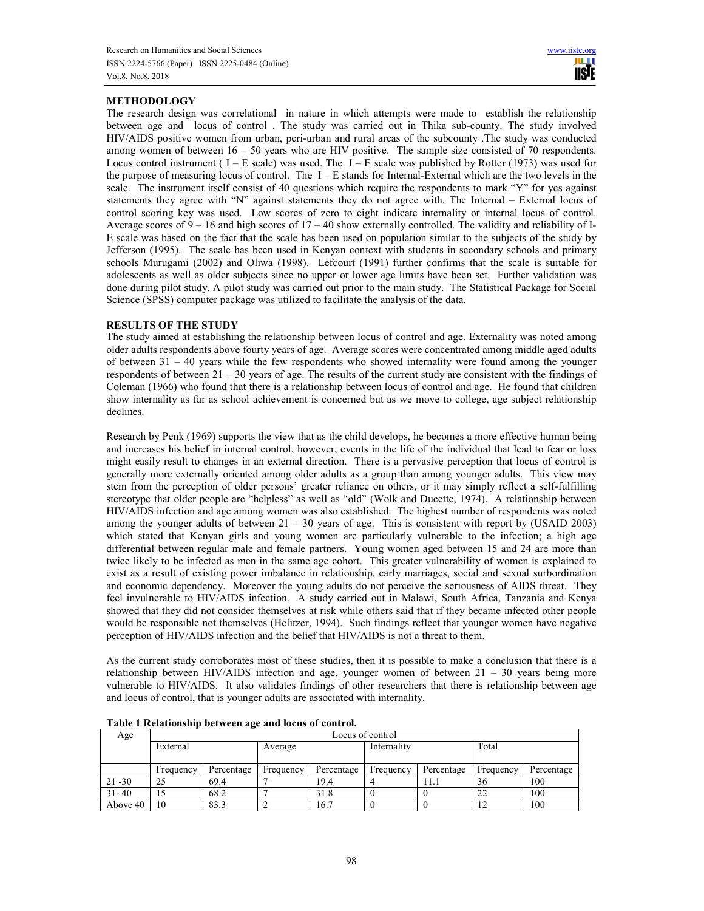# **METHODOLOGY**

The research design was correlational in nature in which attempts were made to establish the relationship between age and locus of control . The study was carried out in Thika sub-county. The study involved HIV/AIDS positive women from urban, peri-urban and rural areas of the subcounty .The study was conducted among women of between 16 – 50 years who are HIV positive. The sample size consisted of 70 respondents. Locus control instrument ( $I - E$  scale) was used. The  $I - E$  scale was published by Rotter (1973) was used for the purpose of measuring locus of control. The I – E stands for Internal-External which are the two levels in the scale. The instrument itself consist of 40 questions which require the respondents to mark "Y" for yes against statements they agree with "N" against statements they do not agree with. The Internal – External locus of control scoring key was used. Low scores of zero to eight indicate internality or internal locus of control. Average scores of  $9 - 16$  and high scores of  $17 - 40$  show externally controlled. The validity and reliability of I-E scale was based on the fact that the scale has been used on population similar to the subjects of the study by Jefferson (1995). The scale has been used in Kenyan context with students in secondary schools and primary schools Murugami (2002) and Oliwa (1998). Lefcourt (1991) further confirms that the scale is suitable for adolescents as well as older subjects since no upper or lower age limits have been set. Further validation was done during pilot study. A pilot study was carried out prior to the main study. The Statistical Package for Social Science (SPSS) computer package was utilized to facilitate the analysis of the data.

## **RESULTS OF THE STUDY**

The study aimed at establishing the relationship between locus of control and age. Externality was noted among older adults respondents above fourty years of age. Average scores were concentrated among middle aged adults of between 31 – 40 years while the few respondents who showed internality were found among the younger respondents of between  $21 - 30$  years of age. The results of the current study are consistent with the findings of Coleman (1966) who found that there is a relationship between locus of control and age. He found that children show internality as far as school achievement is concerned but as we move to college, age subject relationship declines.

Research by Penk (1969) supports the view that as the child develops, he becomes a more effective human being and increases his belief in internal control, however, events in the life of the individual that lead to fear or loss might easily result to changes in an external direction. There is a pervasive perception that locus of control is generally more externally oriented among older adults as a group than among younger adults. This view may stem from the perception of older persons' greater reliance on others, or it may simply reflect a self-fulfilling stereotype that older people are "helpless" as well as "old" (Wolk and Ducette, 1974). A relationship between HIV/AIDS infection and age among women was also established. The highest number of respondents was noted among the younger adults of between  $21 - 30$  years of age. This is consistent with report by (USAID 2003) which stated that Kenyan girls and young women are particularly vulnerable to the infection; a high age differential between regular male and female partners. Young women aged between 15 and 24 are more than twice likely to be infected as men in the same age cohort. This greater vulnerability of women is explained to exist as a result of existing power imbalance in relationship, early marriages, social and sexual surbordination and economic dependency. Moreover the young adults do not perceive the seriousness of AIDS threat. They feel invulnerable to HIV/AIDS infection. A study carried out in Malawi, South Africa, Tanzania and Kenya showed that they did not consider themselves at risk while others said that if they became infected other people would be responsible not themselves (Helitzer, 1994). Such findings reflect that younger women have negative perception of HIV/AIDS infection and the belief that HIV/AIDS is not a threat to them.

As the current study corroborates most of these studies, then it is possible to make a conclusion that there is a relationship between HIV/AIDS infection and age, younger women of between 21 – 30 years being more vulnerable to HIV/AIDS. It also validates findings of other researchers that there is relationship between age and locus of control, that is younger adults are associated with internality.

| Age       | Locus of control |            |           |            |             |            |           |            |
|-----------|------------------|------------|-----------|------------|-------------|------------|-----------|------------|
|           | External         |            | Average   |            | Internality |            | Total     |            |
|           |                  |            |           |            |             |            |           |            |
|           | Frequency        | Percentage | Frequency | Percentage | Frequency   | Percentage | Frequency | Percentage |
| $21 - 30$ | 25               | 69.4       |           | 19.4       |             | l 1.1      | 36        | 100        |
| $31 - 40$ |                  | 68.2       |           | 31.8       |             |            | 22        | 100        |
| Above 40  | 10               | 83.3       |           | 16.7       |             |            |           | 100        |

**Table 1 Relationship between age and locus of control.**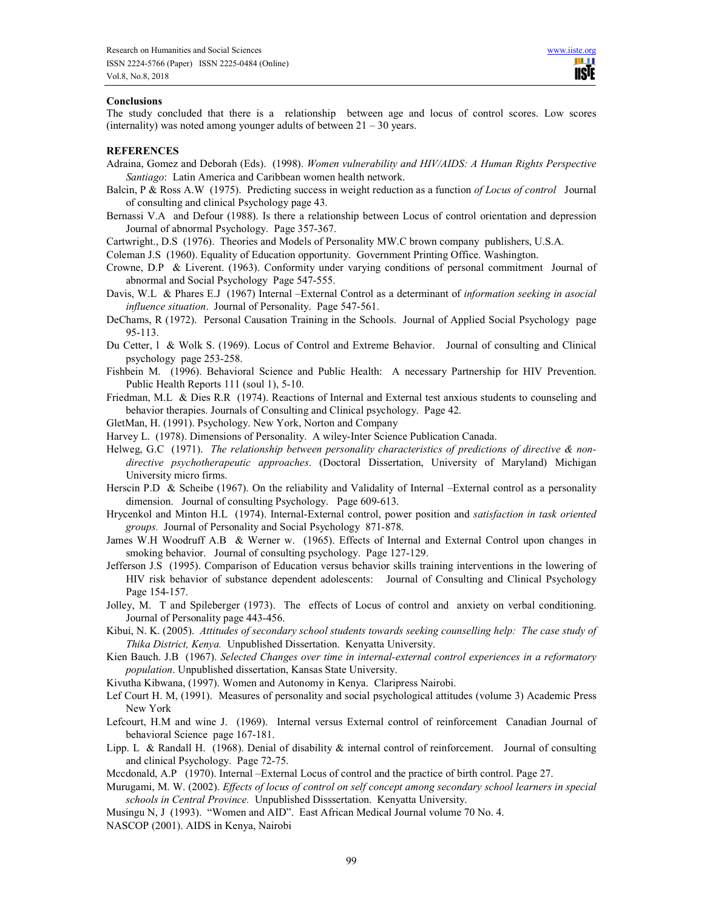#### **Conclusions**

The study concluded that there is a relationship between age and locus of control scores. Low scores (internality) was noted among younger adults of between  $21 - 30$  years.

#### **REFERENCES**

- Adraina, Gomez and Deborah (Eds). (1998). *Women vulnerability and HIV/AIDS: A Human Rights Perspective Santiago*: Latin America and Caribbean women health network.
- Balcin, P & Ross A.W (1975). Predicting success in weight reduction as a function *of Locus of control* Journal of consulting and clinical Psychology page 43.
- Bernassi V.A and Defour (1988). Is there a relationship between Locus of control orientation and depression Journal of abnormal Psychology. Page 357-367.
- Cartwright., D.S (1976). Theories and Models of Personality MW.C brown company publishers, U.S.A.

Coleman J.S (1960). Equality of Education opportunity. Government Printing Office. Washington.

- Crowne, D.P & Liverent. (1963). Conformity under varying conditions of personal commitment Journal of abnormal and Social Psychology Page 547-555.
- Davis, W.L & Phares E.J (1967) Internal –External Control as a determinant of *information seeking in asocial influence situation*. Journal of Personality. Page 547-561.
- DeChams, R (1972). Personal Causation Training in the Schools. Journal of Applied Social Psychology page 95-113.
- Du Cetter, l & Wolk S. (1969). Locus of Control and Extreme Behavior. Journal of consulting and Clinical psychology page 253-258.
- Fishbein M. (1996). Behavioral Science and Public Health: A necessary Partnership for HIV Prevention. Public Health Reports 111 (soul 1), 5-10.
- Friedman, M.L & Dies R.R (1974). Reactions of Internal and External test anxious students to counseling and behavior therapies. Journals of Consulting and Clinical psychology. Page 42.
- GletMan, H. (1991). Psychology. New York, Norton and Company
- Harvey L. (1978). Dimensions of Personality. A wiley-Inter Science Publication Canada.
- Helweg, G.C (1971). *The relationship between personality characteristics of predictions of directive & nondirective psychotherapeutic approaches*. (Doctoral Dissertation, University of Maryland) Michigan University micro firms.
- Herscin P.D & Scheibe (1967). On the reliability and Validality of Internal –External control as a personality dimension. Journal of consulting Psychology. Page 609-613.
- Hrycenkol and Minton H.L (1974). Internal-External control, power position and *satisfaction in task oriented groups.* Journal of Personality and Social Psychology 871-878.
- James W.H Woodruff A.B & Werner w. (1965). Effects of Internal and External Control upon changes in smoking behavior. Journal of consulting psychology. Page 127-129.
- Jefferson J.S (1995). Comparison of Education versus behavior skills training interventions in the lowering of HIV risk behavior of substance dependent adolescents: Journal of Consulting and Clinical Psychology Page 154-157.
- Jolley, M. T and Spileberger (1973). The effects of Locus of control and anxiety on verbal conditioning. Journal of Personality page 443-456.
- Kibui, N. K. (2005). *Attitudes of secondary school students towards seeking counselling help: The case study of Thika District, Kenya.* Unpublished Dissertation. Kenyatta University.
- Kien Bauch. J.B (1967). *Selected Changes over time in internal-external control experiences in a reformatory population*. Unpublished dissertation, Kansas State University.
- Kivutha Kibwana, (1997). Women and Autonomy in Kenya. Claripress Nairobi.
- Lef Court H. M, (1991). Measures of personality and social psychological attitudes (volume 3) Academic Press New York
- Lefcourt, H.M and wine J. (1969). Internal versus External control of reinforcement Canadian Journal of behavioral Science page 167-181.
- Lipp. L & Randall H. (1968). Denial of disability  $\&$  internal control of reinforcement. Journal of consulting and clinical Psychology. Page 72-75.
- Mccdonald, A.P (1970). Internal –External Locus of control and the practice of birth control. Page 27.
- Murugami, M. W. (2002). *Effects of locus of control on self concept among secondary school learners in special schools in Central Province.* Unpublished Disssertation. Kenyatta University.
- Musingu N, J (1993). "Women and AID". East African Medical Journal volume 70 No. 4.
- NASCOP (2001). AIDS in Kenya, Nairobi